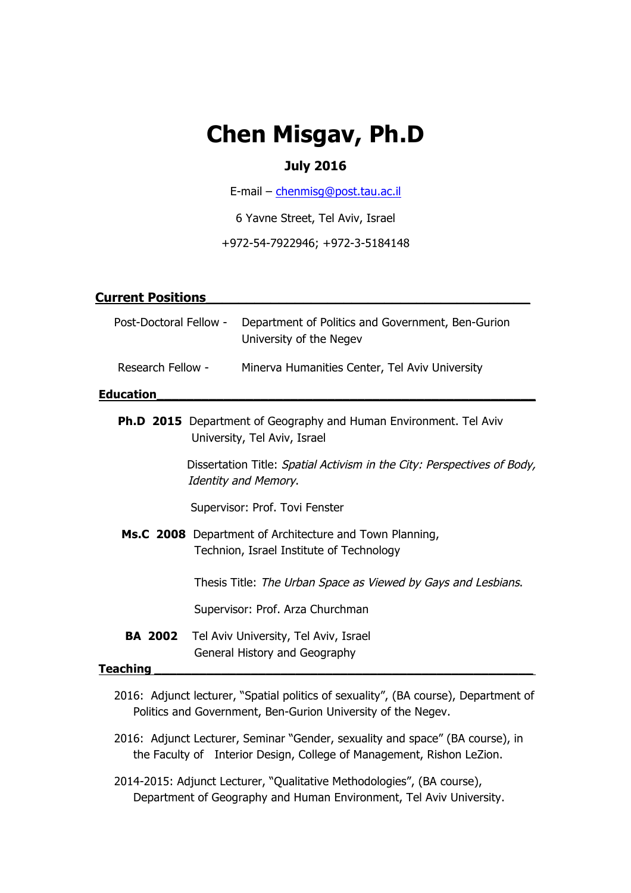# **Chen Misgav, Ph.D**

# **July 2016**

E-mail – chenmisg@post.tau.ac.il

6 Yavne Street, Tel Aviv, Israel

+972-54-7922946; +972-3-5184148

| <b>Current Positions</b>                                                                                 |                                                                              |
|----------------------------------------------------------------------------------------------------------|------------------------------------------------------------------------------|
| Post-Doctoral Fellow -                                                                                   | Department of Politics and Government, Ben-Gurion<br>University of the Negev |
| Research Fellow -                                                                                        | Minerva Humanities Center, Tel Aviv University                               |
| <b>Education</b>                                                                                         |                                                                              |
| <b>Ph.D 2015</b> Department of Geography and Human Environment. Tel Aviv<br>University, Tel Aviv, Israel |                                                                              |
| Dissertation Title: Spatial Activism in the City: Perspectives of Body,<br><b>Identity and Memory.</b>   |                                                                              |
| Supervisor: Prof. Tovi Fenster                                                                           |                                                                              |
| Ms.C 2008 Department of Architecture and Town Planning,<br>Technion, Israel Institute of Technology      |                                                                              |
|                                                                                                          | Thesis Title: The Urban Space as Viewed by Gays and Lesbians.                |
|                                                                                                          | Supervisor: Prof. Arza Churchman                                             |
| BA 2002                                                                                                  | Tel Aviv University, Tel Aviv, Israel<br>General History and Geography       |
| Teaching                                                                                                 |                                                                              |

- 2016: Adjunct lecturer, "Spatial politics of sexuality", (BA course), Department of Politics and Government, Ben-Gurion University of the Negev.
- 2016: Adjunct Lecturer, Seminar "Gender, sexuality and space" (BA course), in the Faculty of Interior Design, College of Management, Rishon LeZion.
- 2014-2015: Adjunct Lecturer, "Qualitative Methodologies", (BA course), Department of Geography and Human Environment, Tel Aviv University.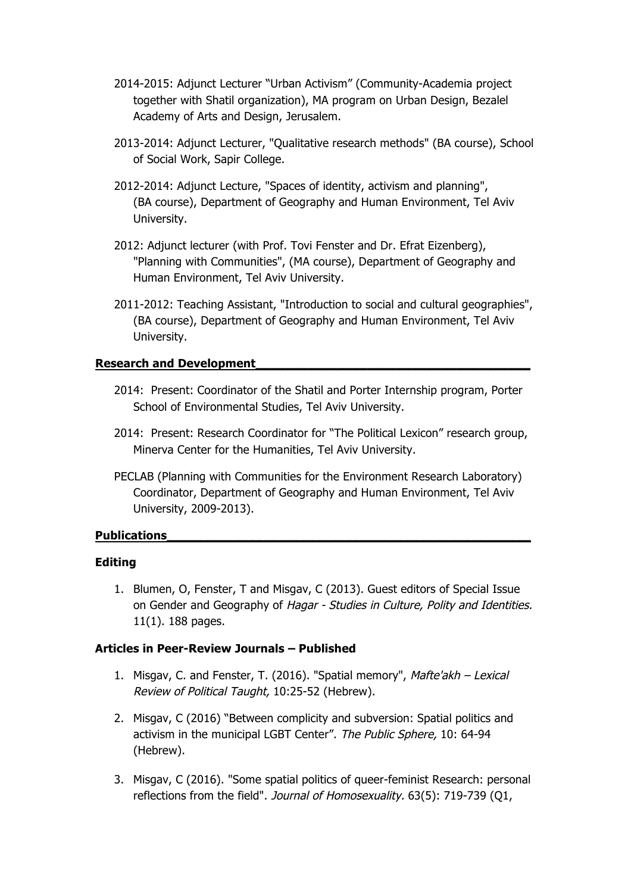- 2014-2015: Adjunct Lecturer "Urban Activism" (Community-Academia project together with Shatil organization), MA program on Urban Design, Bezalel Academy of Arts and Design, Jerusalem.
- 2013-2014: Adjunct Lecturer, "Qualitative research methods" (BA course), School of Social Work, Sapir College.
- 2012-2014: Adjunct Lecture, "Spaces of identity, activism and planning", (BA course), Department of Geography and Human Environment, Tel Aviv University.
- 2012: Adjunct lecturer (with Prof. Tovi Fenster and Dr. Efrat Eizenberg), "Planning with Communities", (MA course), Department of Geography and Human Environment, Tel Aviv University.
- 2011-2012: Teaching Assistant, "Introduction to social and cultural geographies", (BA course), Department of Geography and Human Environment, Tel Aviv University.

## **Research and Development\_\_\_\_\_\_\_\_\_\_\_\_\_\_\_\_\_\_\_\_\_\_\_\_\_\_\_\_\_\_\_\_\_\_\_\_\_**

- 2014: Present: Coordinator of the Shatil and Porter Internship program, Porter School of Environmental Studies, Tel Aviv University.
- 2014: Present: Research Coordinator for "The Political Lexicon" research group, Minerva Center for the Humanities, Tel Aviv University.
- PECLAB (Planning with Communities for the Environment Research Laboratory) Coordinator, Department of Geography and Human Environment, Tel Aviv University, 2009-2013).

## **Publications\_\_\_\_\_\_\_\_\_\_\_\_\_\_\_\_\_\_\_\_\_\_\_\_\_\_\_\_\_\_\_\_\_\_\_\_\_\_\_\_\_\_\_\_\_\_\_\_\_**

## **Editing**

1. Blumen, O, Fenster, T and Misgav, C (2013). Guest editors of Special Issue on Gender and Geography of Hagar - Studies in Culture, Polity and Identities. 11(1). 188 pages.

## **Articles in Peer-Review Journals – Published**

- 1. Misgav, C. and Fenster, T. (2016). "Spatial memory", Mafte'akh Lexical Review of Political Taught, 10:25-52 (Hebrew).
- 2. Misgav, C (2016) "Between complicity and subversion: Spatial politics and activism in the municipal LGBT Center". The Public Sphere, 10: 64-94 (Hebrew).
- 3. Misgav, C (2016). "Some spatial politics of queer-feminist Research: personal reflections from the field". Journal of Homosexuality. 63(5): 719-739 (Q1,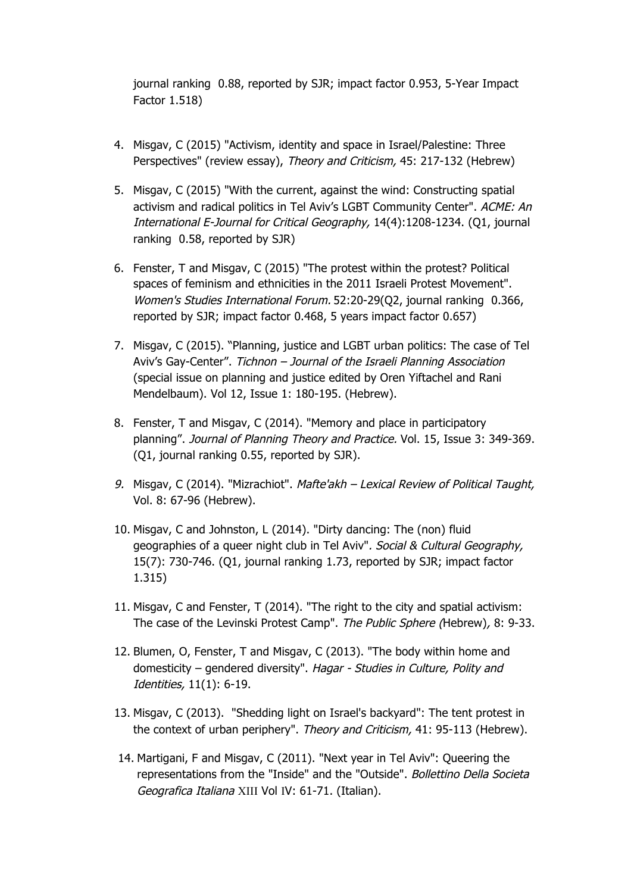journal ranking 0.88, reported by SJR; impact factor 0.953, 5-Year Impact Factor 1.518)

- 4. Misgav, C (2015) "Activism, identity and space in Israel/Palestine: Three Perspectives" (review essay), Theory and Criticism, 45: 217-132 (Hebrew)
- 5. Misgav, C (2015) "With the current, against the wind: Constructing spatial activism and radical politics in Tel Aviv's LGBT Community Center". ACME: An International E-Journal for Critical Geography, 14(4):1208-1234. (Q1, journal ranking 0.58, reported by SJR)
- 6. Fenster, T and Misgav, C (2015) "The protest within the protest? Political spaces of feminism and ethnicities in the 2011 Israeli Protest Movement". Women's Studies International Forum. 52:20-29(Q2, journal ranking 0.366, reported by SJR; impact factor 0.468, 5 years impact factor 0.657)
- 7. Misgav, C (2015). "Planning, justice and LGBT urban politics: The case of Tel Aviv's Gay-Center". Tichnon – Journal of the Israeli Planning Association (special issue on planning and justice edited by Oren Yiftachel and Rani Mendelbaum). Vol 12, Issue 1: 180-195. (Hebrew).
- 8. Fenster, T and Misgav, C (2014). "Memory and place in participatory planning". Journal of Planning Theory and Practice. Vol. 15, Issue 3: 349-369. (Q1, journal ranking 0.55, reported by SJR).
- 9. Misgav, C (2014). "Mizrachiot". Mafte'akh Lexical Review of Political Taught, Vol. 8: 67-96 (Hebrew).
- 10. Misgav, C and Johnston, L (2014). "Dirty dancing: The (non) fluid geographies of a queer night club in Tel Aviv". Social & Cultural Geography, 15(7): 730-746. (Q1, journal ranking 1.73, reported by SJR; impact factor 1.315)
- 11. Misgav, C and Fenster, T (2014). "The right to the city and spatial activism: The case of the Levinski Protest Camp". The Public Sphere (Hebrew), 8: 9-33.
- 12. Blumen, O, Fenster, T and Misgav, C (2013). "The body within home and domesticity – gendered diversity". Hagar - Studies in Culture, Polity and Identities, 11(1): 6-19.
- 13. Misgav, C (2013). "Shedding light on Israel's backyard": The tent protest in the context of urban periphery". Theory and Criticism, 41: 95-113 (Hebrew).
- 14. Martigani, F and Misgav, C (2011). "Next year in Tel Aviv": Queering the representations from the "Inside" and the "Outside". Bollettino Della Societa Geografica Italiana XIII Vol IV: 61-71. (Italian).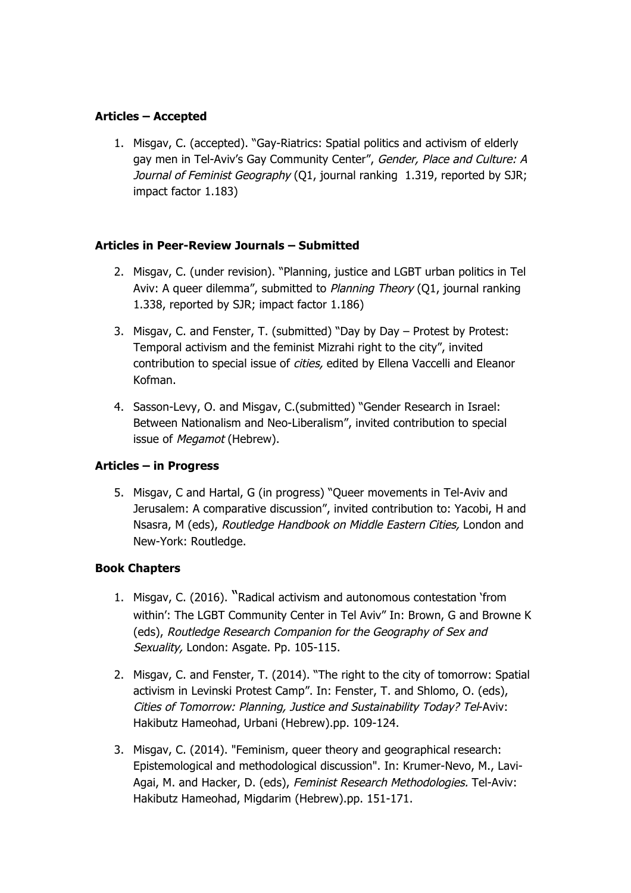# **Articles – Accepted**

1. Misgav, C. (accepted). "Gay-Riatrics: Spatial politics and activism of elderly gay men in Tel-Aviv's Gay Community Center", Gender, Place and Culture: A Journal of Feminist Geography (Q1, journal ranking 1.319, reported by SJR; impact factor 1.183)

# **Articles in Peer-Review Journals – Submitted**

- 2. Misgav, C. (under revision). "Planning, justice and LGBT urban politics in Tel Aviv: A queer dilemma", submitted to Planning Theory (Q1, journal ranking 1.338, reported by SJR; impact factor 1.186)
- 3. Misgav, C. and Fenster, T. (submitted) "Day by Day Protest by Protest: Temporal activism and the feminist Mizrahi right to the city", invited contribution to special issue of cities, edited by Ellena Vaccelli and Eleanor Kofman.
- 4. Sasson-Levy, O. and Misgav, C.(submitted) "Gender Research in Israel: Between Nationalism and Neo-Liberalism", invited contribution to special issue of Megamot (Hebrew).

# **Articles – in Progress**

5. Misgav, C and Hartal, G (in progress) "Queer movements in Tel-Aviv and Jerusalem: A comparative discussion", invited contribution to: Yacobi, H and Nsasra, M (eds), Routledge Handbook on Middle Eastern Cities, London and New-York: Routledge.

# **Book Chapters**

- 1. Misgav, C. (2016). "Radical activism and autonomous contestation 'from within': The LGBT Community Center in Tel Aviv" In: Brown, G and Browne K (eds), Routledge Research Companion for the Geography of Sex and Sexuality, London: Asgate. Pp. 105-115.
- 2. Misgav, C. and Fenster, T. (2014). "The right to the city of tomorrow: Spatial activism in Levinski Protest Camp". In: Fenster, T. and Shlomo, O. (eds), Cities of Tomorrow: Planning, Justice and Sustainability Today? Tel-Aviv: Hakibutz Hameohad, Urbani (Hebrew).pp. 109-124.
- 3. Misgav, C. (2014). "Feminism, queer theory and geographical research: Epistemological and methodological discussion". In: Krumer-Nevo, M., Lavi-Agai, M. and Hacker, D. (eds), Feminist Research Methodologies. Tel-Aviv: Hakibutz Hameohad, Migdarim (Hebrew).pp. 151-171.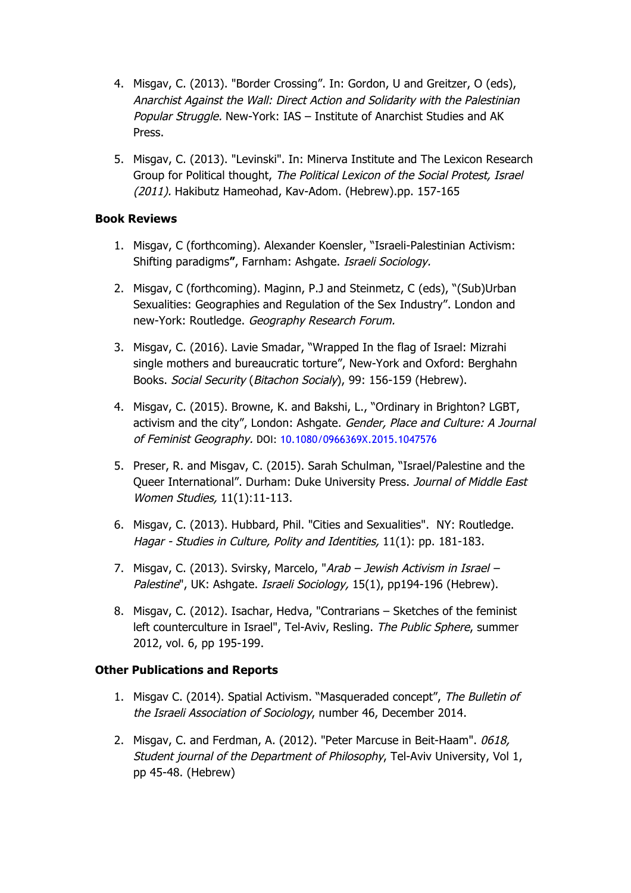- 4. Misgav, C. (2013). "Border Crossing". In: Gordon, U and Greitzer, O (eds), Anarchist Against the Wall: Direct Action and Solidarity with the Palestinian Popular Struggle. New-York: IAS – Institute of Anarchist Studies and AK Press.
- 5. Misgav, C. (2013). "Levinski". In: Minerva Institute and The Lexicon Research Group for Political thought, The Political Lexicon of the Social Protest, Israel (2011). Hakibutz Hameohad, Kav-Adom. (Hebrew).pp. 157-165

## **Book Reviews**

- 1. Misgav, C (forthcoming). Alexander Koensler, "Israeli-Palestinian Activism: Shifting paradigms**"**, Farnham: Ashgate. Israeli Sociology.
- 2. Misgav, C (forthcoming). Maginn, P.J and Steinmetz, C (eds), "(Sub)Urban Sexualities: Geographies and Regulation of the Sex Industry". London and new-York: Routledge. Geography Research Forum.
- 3. Misgav, C. (2016). Lavie Smadar, "Wrapped In the flag of Israel: Mizrahi single mothers and bureaucratic torture", New-York and Oxford: Berghahn Books. Social Security (Bitachon Socialy), 99: 156-159 (Hebrew).
- 4. Misgav, C. (2015). Browne, K. and Bakshi, L., "Ordinary in Brighton? LGBT, activism and the city", London: Ashgate. Gender, Place and Culture: A Journal of Feminist Geography. DOI: 10.1080/0966369X.2015.1047576
- 5. Preser, R. and Misgav, C. (2015). Sarah Schulman, "Israel/Palestine and the Queer International". Durham: Duke University Press. Journal of Middle East Women Studies, 11(1):11-113.
- 6. Misgav, C. (2013). Hubbard, Phil. "Cities and Sexualities". NY: Routledge. Hagar - Studies in Culture, Polity and Identities, 11(1): pp. 181-183.
- 7. Misgav, C. (2013). Svirsky, Marcelo, "Arab Jewish Activism in Israel -Palestine", UK: Ashgate. Israeli Sociology, 15(1), pp194-196 (Hebrew).
- 8. Misgav, C. (2012). Isachar, Hedva, "Contrarians Sketches of the feminist left counterculture in Israel", Tel-Aviv, Resling. The Public Sphere, summer 2012, vol. 6, pp 195-199.

# **Other Publications and Reports**

- 1. Misgav C. (2014). Spatial Activism. "Masqueraded concept", The Bulletin of the Israeli Association of Sociology, number 46, December 2014.
- 2. Misgav, C. and Ferdman, A. (2012). "Peter Marcuse in Beit-Haam". 0618, Student journal of the Department of Philosophy, Tel-Aviv University, Vol 1, pp 45-48. (Hebrew)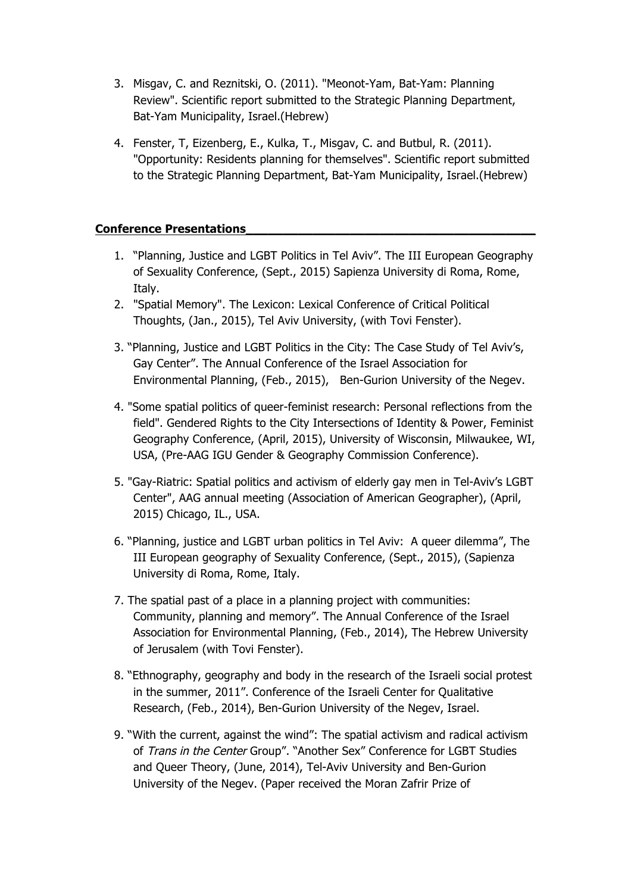- 3. Misgav, C. and Reznitski, O. (2011). "Meonot-Yam, Bat-Yam: Planning Review". Scientific report submitted to the Strategic Planning Department, Bat-Yam Municipality, Israel.(Hebrew)
- 4. Fenster, T, Eizenberg, E., Kulka, T., Misgav, C. and Butbul, R. (2011). "Opportunity: Residents planning for themselves". Scientific report submitted to the Strategic Planning Department, Bat-Yam Municipality, Israel.(Hebrew)

## **Conference Presentations\_\_\_\_\_\_\_\_\_\_\_\_\_\_\_\_\_\_\_\_\_\_\_\_\_\_\_\_\_\_\_\_\_\_\_\_\_\_\_**

- 1. "Planning, Justice and LGBT Politics in Tel Aviv". The III European Geography of Sexuality Conference, (Sept., 2015) Sapienza University di Roma, Rome, Italy.
- 2. "Spatial Memory". The Lexicon: Lexical Conference of Critical Political Thoughts, (Jan., 2015), Tel Aviv University, (with Tovi Fenster).
- 3. "Planning, Justice and LGBT Politics in the City: The Case Study of Tel Aviv's, Gay Center". The Annual Conference of the Israel Association for Environmental Planning, (Feb., 2015), Ben-Gurion University of the Negev.
- 4. "Some spatial politics of queer-feminist research: Personal reflections from the field". Gendered Rights to the City Intersections of Identity & Power, Feminist Geography Conference, (April, 2015), University of Wisconsin, Milwaukee, WI, USA, (Pre-AAG IGU Gender & Geography Commission Conference).
- 5. "Gay-Riatric: Spatial politics and activism of elderly gay men in Tel-Aviv's LGBT Center", AAG annual meeting (Association of American Geographer), (April, 2015) Chicago, IL., USA.
- 6. "Planning, justice and LGBT urban politics in Tel Aviv: A queer dilemma", The III European geography of Sexuality Conference, (Sept., 2015), (Sapienza University di Roma, Rome, Italy.
- 7. The spatial past of a place in a planning project with communities: Community, planning and memory". The Annual Conference of the Israel Association for Environmental Planning, (Feb., 2014), The Hebrew University of Jerusalem (with Tovi Fenster).
- 8. "Ethnography, geography and body in the research of the Israeli social protest in the summer, 2011". Conference of the Israeli Center for Qualitative Research, (Feb., 2014), Ben-Gurion University of the Negev, Israel.
- 9. "With the current, against the wind": The spatial activism and radical activism of Trans in the Center Group". "Another Sex" Conference for LGBT Studies and Queer Theory, (June, 2014), Tel-Aviv University and Ben-Gurion University of the Negev. (Paper received the Moran Zafrir Prize of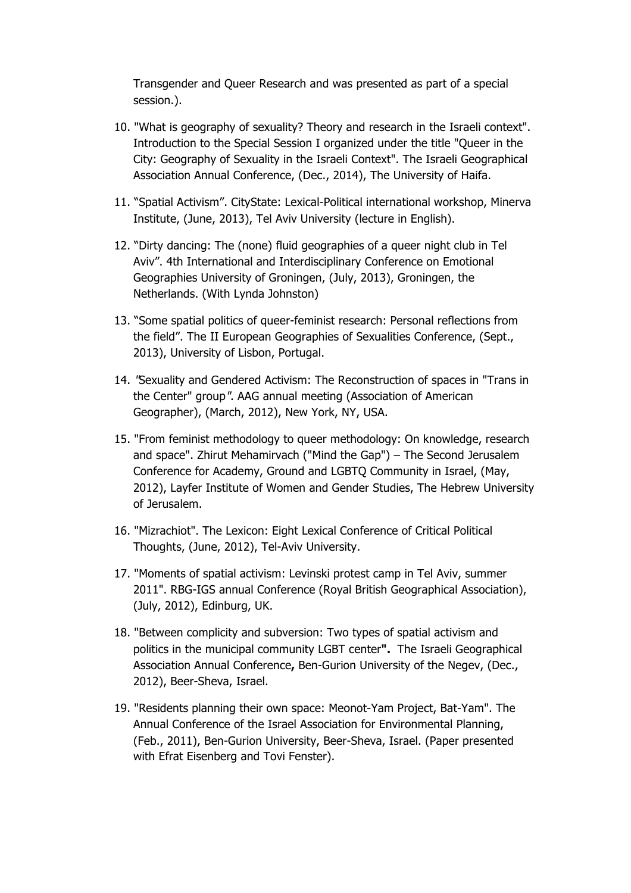Transgender and Queer Research and was presented as part of a special session.).

- 10. "What is geography of sexuality? Theory and research in the Israeli context". Introduction to the Special Session I organized under the title "Queer in the City: Geography of Sexuality in the Israeli Context". The Israeli Geographical Association Annual Conference, (Dec., 2014), The University of Haifa.
- 11. "Spatial Activism". CityState: Lexical-Political international workshop, Minerva Institute, (June, 2013), Tel Aviv University (lecture in English).
- 12. "Dirty dancing: The (none) fluid geographies of a queer night club in Tel Aviv". 4th International and Interdisciplinary Conference on Emotional Geographies University of Groningen, (July, 2013), Groningen, the Netherlands. (With Lynda Johnston)
- 13. "Some spatial politics of queer-feminist research: Personal reflections from the field". The II European Geographies of Sexualities Conference, (Sept., 2013), University of Lisbon, Portugal.
- 14. "Sexuality and Gendered Activism: The Reconstruction of spaces in "Trans in the Center" group". AAG annual meeting (Association of American Geographer), (March, 2012), New York, NY, USA.
- 15. "From feminist methodology to queer methodology: On knowledge, research and space". Zhirut Mehamirvach ("Mind the Gap") – The Second Jerusalem Conference for Academy, Ground and LGBTQ Community in Israel, (May, 2012), Layfer Institute of Women and Gender Studies, The Hebrew University of Jerusalem.
- 16. "Mizrachiot". The Lexicon: Eight Lexical Conference of Critical Political Thoughts, (June, 2012), Tel-Aviv University.
- 17. "Moments of spatial activism: Levinski protest camp in Tel Aviv, summer 2011". RBG-IGS annual Conference (Royal British Geographical Association), (July, 2012), Edinburg, UK.
- 18. "Between complicity and subversion: Two types of spatial activism and politics in the municipal community LGBT center**".** The Israeli Geographical Association Annual Conference**,** Ben-Gurion University of the Negev, (Dec., 2012), Beer-Sheva, Israel.
- 19. "Residents planning their own space: Meonot-Yam Project, Bat-Yam". The Annual Conference of the Israel Association for Environmental Planning, (Feb., 2011), Ben-Gurion University, Beer-Sheva, Israel. (Paper presented with Efrat Eisenberg and Tovi Fenster).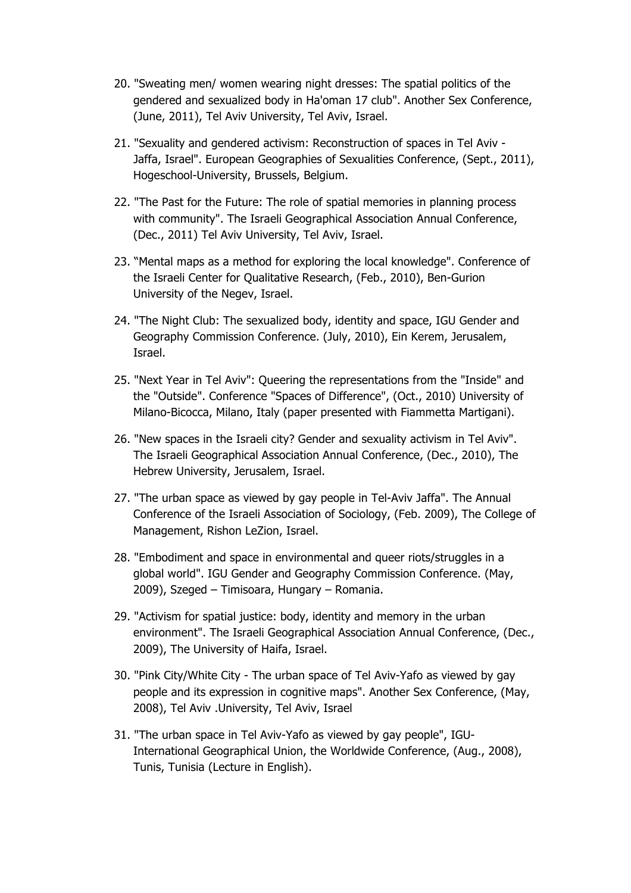- 20. "Sweating men/ women wearing night dresses: The spatial politics of the gendered and sexualized body in Ha'oman 17 club". Another Sex Conference, (June, 2011), Tel Aviv University, Tel Aviv, Israel.
- 21. "Sexuality and gendered activism: Reconstruction of spaces in Tel Aviv Jaffa, Israel". European Geographies of Sexualities Conference, (Sept., 2011), Hogeschool-University, Brussels, Belgium.
- 22. "The Past for the Future: The role of spatial memories in planning process with community". The Israeli Geographical Association Annual Conference, (Dec., 2011) Tel Aviv University, Tel Aviv, Israel.
- 23. "Mental maps as a method for exploring the local knowledge". Conference of the Israeli Center for Qualitative Research, (Feb., 2010), Ben-Gurion University of the Negev, Israel.
- 24. "The Night Club: The sexualized body, identity and space, IGU Gender and Geography Commission Conference. (July, 2010), Ein Kerem, Jerusalem, Israel.
- 25. "Next Year in Tel Aviv": Queering the representations from the "Inside" and the "Outside". Conference "Spaces of Difference", (Oct., 2010) University of Milano-Bicocca, Milano, Italy (paper presented with Fiammetta Martigani).
- 26. "New spaces in the Israeli city? Gender and sexuality activism in Tel Aviv". The Israeli Geographical Association Annual Conference, (Dec., 2010), The Hebrew University, Jerusalem, Israel.
- 27. "The urban space as viewed by gay people in Tel-Aviv Jaffa". The Annual Conference of the Israeli Association of Sociology, (Feb. 2009), The College of Management, Rishon LeZion, Israel.
- 28. "Embodiment and space in environmental and queer riots/struggles in a global world". IGU Gender and Geography Commission Conference. (May, 2009), Szeged – Timisoara, Hungary – Romania.
- 29. "Activism for spatial justice: body, identity and memory in the urban environment". The Israeli Geographical Association Annual Conference, (Dec., 2009), The University of Haifa, Israel.
- 30. "Pink City/White City The urban space of Tel Aviv-Yafo as viewed by gay people and its expression in cognitive maps". Another Sex Conference, (May, 2008), Tel Aviv .University, Tel Aviv, Israel
- 31. "The urban space in Tel Aviv-Yafo as viewed by gay people", IGU-International Geographical Union, the Worldwide Conference, (Aug., 2008), Tunis, Tunisia (Lecture in English).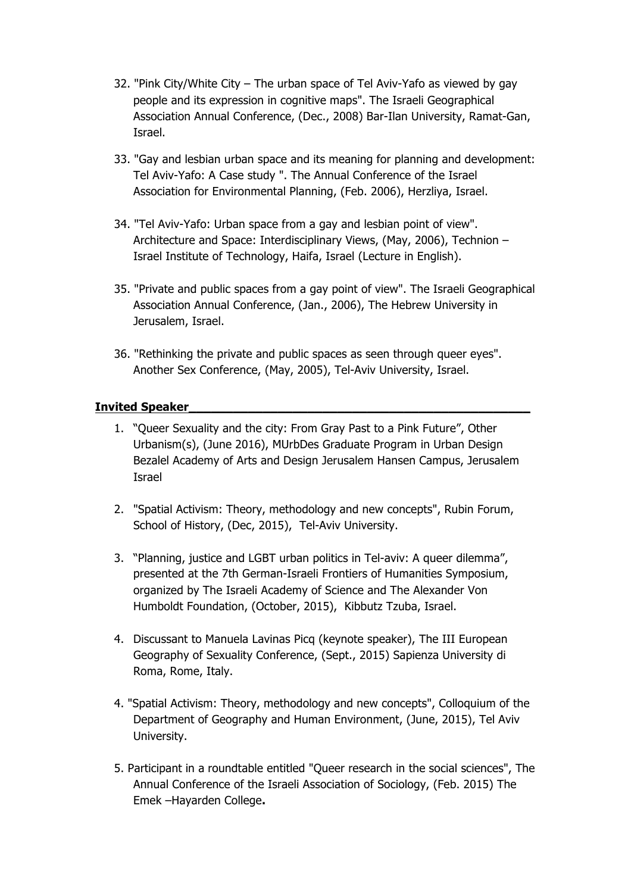- 32. "Pink City/White City The urban space of Tel Aviv-Yafo as viewed by gay people and its expression in cognitive maps". The Israeli Geographical Association Annual Conference, (Dec., 2008) Bar-Ilan University, Ramat-Gan, Israel.
- 33. "Gay and lesbian urban space and its meaning for planning and development: Tel Aviv-Yafo: A Case study ". The Annual Conference of the Israel Association for Environmental Planning, (Feb. 2006), Herzliya, Israel.
- 34. "Tel Aviv-Yafo: Urban space from a gay and lesbian point of view". Architecture and Space: Interdisciplinary Views, (May, 2006), Technion – Israel Institute of Technology, Haifa, Israel (Lecture in English).
- 35. "Private and public spaces from a gay point of view". The Israeli Geographical Association Annual Conference, (Jan., 2006), The Hebrew University in Jerusalem, Israel.
- 36. "Rethinking the private and public spaces as seen through queer eyes". Another Sex Conference, (May, 2005), Tel-Aviv University, Israel.

# **Invited Speaker\_\_\_\_\_\_\_\_\_\_\_\_\_\_\_\_\_\_\_\_\_\_\_\_\_\_\_\_\_\_\_\_\_\_\_\_\_\_\_\_\_\_\_\_\_\_**

- 1. "Queer Sexuality and the city: From Gray Past to a Pink Future״, Other Urbanism(s), (June 2016), MUrbDes Graduate Program in Urban Design Bezalel Academy of Arts and Design Jerusalem Hansen Campus, Jerusalem Israel
- 2. "Spatial Activism: Theory, methodology and new concepts", Rubin Forum, School of History, (Dec, 2015), Tel-Aviv University.
- 3. "Planning, justice and LGBT urban politics in Tel-aviv: A queer dilemma", presented at the 7th German-Israeli Frontiers of Humanities Symposium, organized by The Israeli Academy of Science and The Alexander Von Humboldt Foundation, (October, 2015), Kibbutz Tzuba, Israel.
- 4. Discussant to Manuela Lavinas Picq (keynote speaker), The III European Geography of Sexuality Conference, (Sept., 2015) Sapienza University di Roma, Rome, Italy.
- 4. "Spatial Activism: Theory, methodology and new concepts", Colloquium of the Department of Geography and Human Environment, (June, 2015), Tel Aviv University.
- 5. Participant in a roundtable entitled "Queer research in the social sciences", The Annual Conference of the Israeli Association of Sociology, (Feb. 2015) The Emek –Hayarden College**.**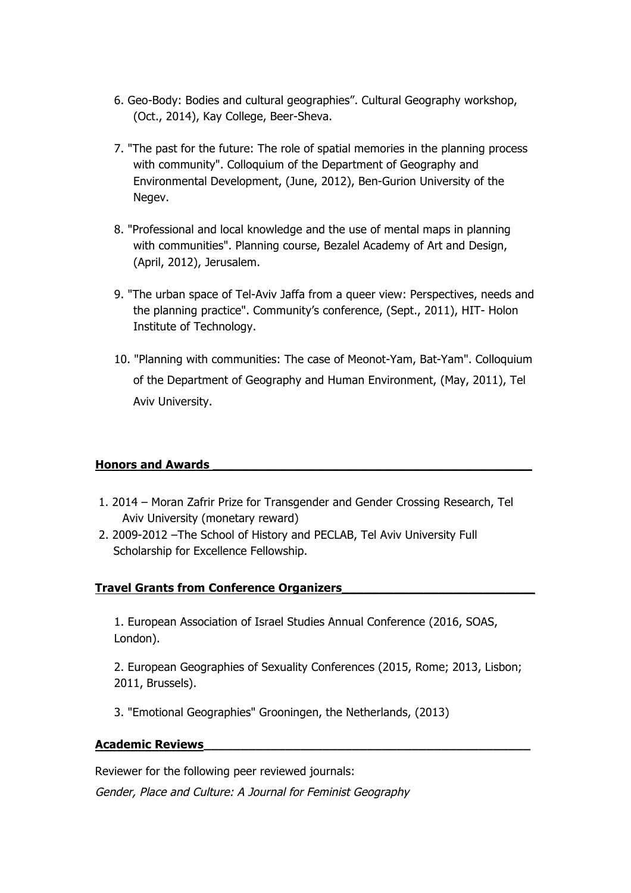- 6. Geo-Body: Bodies and cultural geographies". Cultural Geography workshop, (Oct., 2014), Kay College, Beer-Sheva.
- 7. "The past for the future: The role of spatial memories in the planning process with community". Colloquium of the Department of Geography and Environmental Development, (June, 2012), Ben-Gurion University of the Negev.
- 8. "Professional and local knowledge and the use of mental maps in planning with communities". Planning course, Bezalel Academy of Art and Design, (April, 2012), Jerusalem.
- 9. "The urban space of Tel-Aviv Jaffa from a queer view: Perspectives, needs and the planning practice". Community's conference, (Sept., 2011), HIT- Holon Institute of Technology.
- 10. "Planning with communities: The case of Meonot-Yam, Bat-Yam". Colloquium of the Department of Geography and Human Environment, (May, 2011), Tel Aviv University.

# **Honors and Awards \_\_\_\_\_\_\_\_\_\_\_\_\_\_\_\_\_\_\_\_\_\_\_\_\_\_\_\_\_\_\_\_\_\_\_\_\_\_\_\_\_\_\_**

- 1. 2014 Moran Zafrir Prize for Transgender and Gender Crossing Research, Tel Aviv University (monetary reward)
- 2. 2009-2012 –The School of History and PECLAB, Tel Aviv University Full Scholarship for Excellence Fellowship.

# **Travel Grants from Conference Organizers\_\_\_\_\_\_\_\_\_\_\_\_\_\_\_\_\_\_\_\_\_\_\_\_\_\_**

1. European Association of Israel Studies Annual Conference (2016, SOAS, London).

2. European Geographies of Sexuality Conferences (2015, Rome; 2013, Lisbon; 2011, Brussels).

3. "Emotional Geographies" Grooningen, the Netherlands, (2013)

## **Academic Reviews\_\_\_\_\_\_\_\_\_\_\_\_\_\_\_\_\_\_\_\_\_\_\_\_\_\_\_\_\_\_\_\_\_\_\_\_\_\_\_\_\_\_\_\_**

Reviewer for the following peer reviewed journals:

Gender, Place and Culture: A Journal for Feminist Geography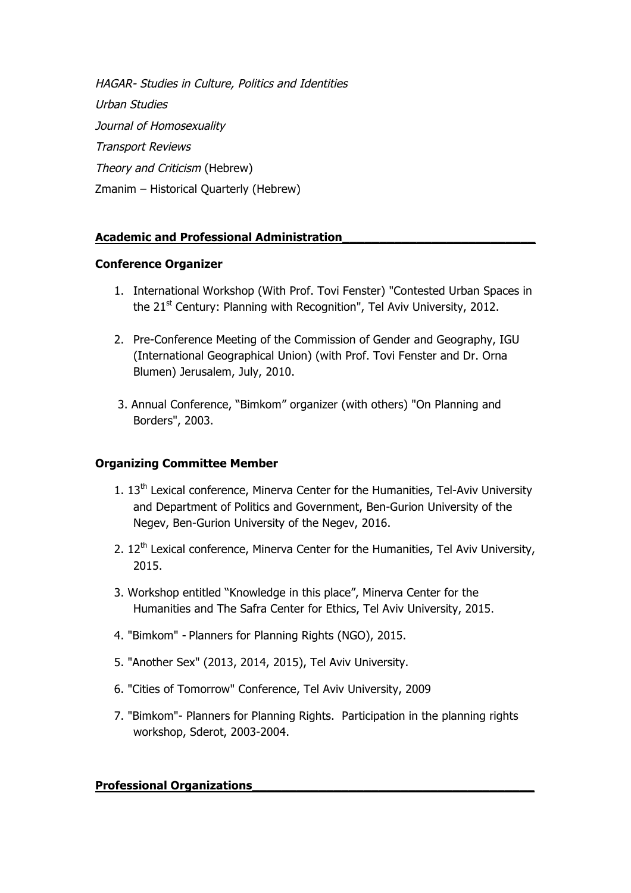HAGAR- Studies in Culture, Politics and Identities Urban Studies Journal of Homosexuality Transport Reviews Theory and Criticism (Hebrew) Zmanim – Historical Quarterly (Hebrew)

# **Academic and Professional Administration\_\_\_\_\_\_\_\_\_\_\_\_\_\_\_\_\_\_\_\_\_\_\_\_\_\_**

## **Conference Organizer**

- 1. International Workshop (With Prof. Tovi Fenster) "Contested Urban Spaces in the  $21<sup>st</sup>$  Century: Planning with Recognition", Tel Aviv University, 2012.
- 2. Pre-Conference Meeting of the Commission of Gender and Geography, IGU (International Geographical Union) (with Prof. Tovi Fenster and Dr. Orna Blumen) Jerusalem, July, 2010.
- 3. Annual Conference, "Bimkom" organizer (with others) "On Planning and Borders", 2003.

# **Organizing Committee Member**

- 1.  $13<sup>th</sup>$  Lexical conference, Minerva Center for the Humanities, Tel-Aviv University and Department of Politics and Government, Ben-Gurion University of the Negev, Ben-Gurion University of the Negev, 2016.
- 2.  $12<sup>th</sup>$  Lexical conference, Minerva Center for the Humanities, Tel Aviv University, 2015.
- 3. Workshop entitled "Knowledge in this place", Minerva Center for the Humanities and The Safra Center for Ethics, Tel Aviv University, 2015.
- 4. "Bimkom" Planners for Planning Rights (NGO), 2015.
- 5. "Another Sex" (2013, 2014, 2015), Tel Aviv University.
- 6. "Cities of Tomorrow" Conference, Tel Aviv University, 2009
- 7. "Bimkom"- Planners for Planning Rights. Participation in the planning rights workshop, Sderot, 2003-2004.

## **Professional Organizations\_\_\_\_\_\_\_\_\_\_\_\_\_\_\_\_\_\_\_\_\_\_\_\_\_\_\_\_\_\_\_\_\_\_\_\_\_\_**